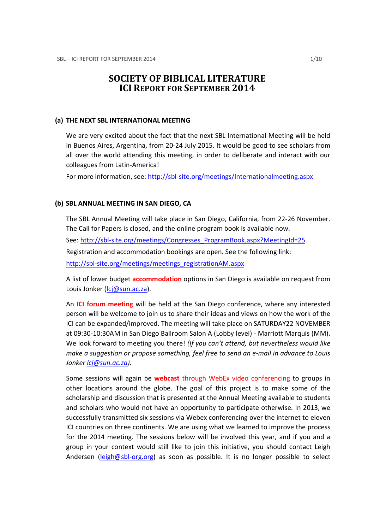# SOCIETY OF BIBLICAL LITERATURE ICI REPORT FOR SEPTEMBER 2014

#### (a) THE NEXT SBL INTERNATIONAL MEETING

We are very excited about the fact that the next SBL International Meeting will be held in Buenos Aires, Argentina, from 20-24 July 2015. It would be good to see scholars from all over the world attending this meeting, in order to deliberate and interact with our colleagues from Latin-America!

For more information, see: http://sbl-site.org/meetings/Internationalmeeting.aspx

# (b) SBL ANNUAL MEETING IN SAN DIEGO, CA

The SBL Annual Meeting will take place in San Diego, California, from 22-26 November. The Call for Papers is closed, and the online program book is available now. See: http://sbl-site.org/meetings/Congresses\_ProgramBook.aspx?MeetingId=25 Registration and accommodation bookings are open. See the following link: http://sbl-site.org/meetings/meetings\_registrationAM.aspx

A list of lower budget **accommodation** options in San Diego is available on request from Louis Jonker (lcj@sun.ac.za).

An ICI forum meeting will be held at the San Diego conference, where any interested person will be welcome to join us to share their ideas and views on how the work of the ICI can be expanded/improved. The meeting will take place on SATURDAY22 NOVEMBER at 09:30-10:30AM in San Diego Ballroom Salon A (Lobby level) - Marriott Marquis (MM). We look forward to meeting you there! (If you can't attend, but nevertheless would like make a suggestion or propose something, feel free to send an e-mail in advance to Louis Jonker *ci@sun.ac.za*).

Some sessions will again be **webcast** through WebEx video conferencing to groups in other locations around the globe. The goal of this project is to make some of the scholarship and discussion that is presented at the Annual Meeting available to students and scholars who would not have an opportunity to participate otherwise. In 2013, we successfully transmitted six sessions via Webex conferencing over the internet to eleven ICI countries on three continents. We are using what we learned to improve the process for the 2014 meeting. The sessions below will be involved this year, and if you and a group in your context would still like to join this initiative, you should contact Leigh Andersen ( $\frac{\text{leigh@sb} - \text{org.org}}{2}$  as soon as possible. It is no longer possible to select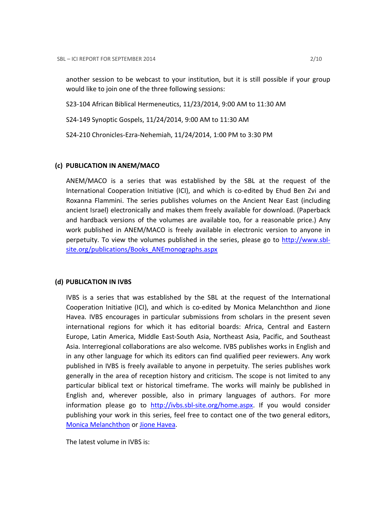another session to be webcast to your institution, but it is still possible if your group would like to join one of the three following sessions:

S23-104 African Biblical Hermeneutics, 11/23/2014, 9:00 AM to 11:30 AM

S24-149 Synoptic Gospels, 11/24/2014, 9:00 AM to 11:30 AM

S24-210 Chronicles-Ezra-Nehemiah, 11/24/2014, 1:00 PM to 3:30 PM

# (c) PUBLICATION IN ANEM/MACO

ANEM/MACO is a series that was established by the SBL at the request of the International Cooperation Initiative (ICI), and which is co-edited by Ehud Ben Zvi and Roxanna Flammini. The series publishes volumes on the Ancient Near East (including ancient Israel) electronically and makes them freely available for download. (Paperback and hardback versions of the volumes are available too, for a reasonable price.) Any work published in ANEM/MACO is freely available in electronic version to anyone in perpetuity. To view the volumes published in the series, please go to http://www.sblsite.org/publications/Books\_ANEmonographs.aspx

# (d) PUBLICATION IN IVBS

IVBS is a series that was established by the SBL at the request of the International Cooperation Initiative (ICI), and which is co-edited by Monica Melanchthon and Jione Havea. IVBS encourages in particular submissions from scholars in the present seven international regions for which it has editorial boards: Africa, Central and Eastern Europe, Latin America, Middle East-South Asia, Northeast Asia, Pacific, and Southeast Asia. Interregional collaborations are also welcome. IVBS publishes works in English and in any other language for which its editors can find qualified peer reviewers. Any work published in IVBS is freely available to anyone in perpetuity. The series publishes work generally in the area of reception history and criticism. The scope is not limited to any particular biblical text or historical timeframe. The works will mainly be published in English and, wherever possible, also in primary languages of authors. For more information please go to http://ivbs.sbl-site.org/home.aspx. If you would consider publishing your work in this series, feel free to contact one of the two general editors, Monica Melanchthon or Jione Havea.

The latest volume in IVBS is: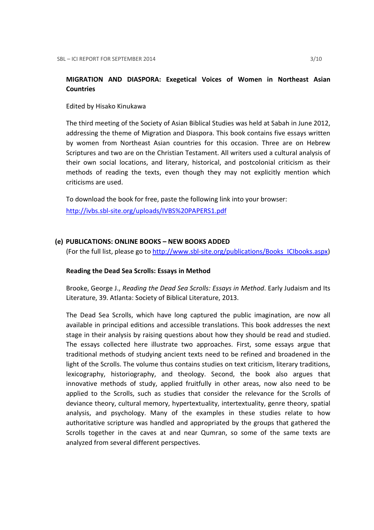# MIGRATION AND DIASPORA: Exegetical Voices of Women in Northeast Asian **Countries**

Edited by Hisako Kinukawa

The third meeting of the Society of Asian Biblical Studies was held at Sabah in June 2012, addressing the theme of Migration and Diaspora. This book contains five essays written by women from Northeast Asian countries for this occasion. Three are on Hebrew Scriptures and two are on the Christian Testament. All writers used a cultural analysis of their own social locations, and literary, historical, and postcolonial criticism as their methods of reading the texts, even though they may not explicitly mention which criticisms are used.

To download the book for free, paste the following link into your browser: http://ivbs.sbl-site.org/uploads/IVBS%20PAPERS1.pdf

# (e) PUBLICATIONS: ONLINE BOOKS – NEW BOOKS ADDED

(For the full list, please go to http://www.sbl-site.org/publications/Books\_ICIbooks.aspx)

# Reading the Dead Sea Scrolls: Essays in Method

Brooke, George J., Reading the Dead Sea Scrolls: Essays in Method. Early Judaism and Its Literature, 39. Atlanta: Society of Biblical Literature, 2013.

The Dead Sea Scrolls, which have long captured the public imagination, are now all available in principal editions and accessible translations. This book addresses the next stage in their analysis by raising questions about how they should be read and studied. The essays collected here illustrate two approaches. First, some essays argue that traditional methods of studying ancient texts need to be refined and broadened in the light of the Scrolls. The volume thus contains studies on text criticism, literary traditions, lexicography, historiography, and theology. Second, the book also argues that innovative methods of study, applied fruitfully in other areas, now also need to be applied to the Scrolls, such as studies that consider the relevance for the Scrolls of deviance theory, cultural memory, hypertextuality, intertextuality, genre theory, spatial analysis, and psychology. Many of the examples in these studies relate to how authoritative scripture was handled and appropriated by the groups that gathered the Scrolls together in the caves at and near Qumran, so some of the same texts are analyzed from several different perspectives.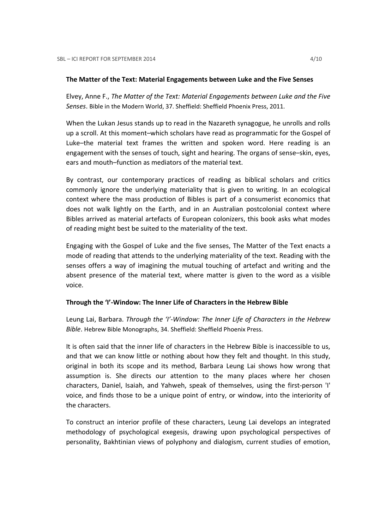#### The Matter of the Text: Material Engagements between Luke and the Five Senses

Elvey, Anne F., The Matter of the Text: Material Engagements between Luke and the Five Senses. Bible in the Modern World, 37. Sheffield: Sheffield Phoenix Press, 2011.

When the Lukan Jesus stands up to read in the Nazareth synagogue, he unrolls and rolls up a scroll. At this moment–which scholars have read as programmatic for the Gospel of Luke–the material text frames the written and spoken word. Here reading is an engagement with the senses of touch, sight and hearing. The organs of sense–skin, eyes, ears and mouth–function as mediators of the material text.

By contrast, our contemporary practices of reading as biblical scholars and critics commonly ignore the underlying materiality that is given to writing. In an ecological context where the mass production of Bibles is part of a consumerist economics that does not walk lightly on the Earth, and in an Australian postcolonial context where Bibles arrived as material artefacts of European colonizers, this book asks what modes of reading might best be suited to the materiality of the text.

Engaging with the Gospel of Luke and the five senses, The Matter of the Text enacts a mode of reading that attends to the underlying materiality of the text. Reading with the senses offers a way of imagining the mutual touching of artefact and writing and the absent presence of the material text, where matter is given to the word as a visible voice.

# Through the 'I'-Window: The Inner Life of Characters in the Hebrew Bible

Leung Lai, Barbara. Through the 'I'-Window: The Inner Life of Characters in the Hebrew Bible. Hebrew Bible Monographs, 34. Sheffield: Sheffield Phoenix Press.

It is often said that the inner life of characters in the Hebrew Bible is inaccessible to us, and that we can know little or nothing about how they felt and thought. In this study, original in both its scope and its method, Barbara Leung Lai shows how wrong that assumption is. She directs our attention to the many places where her chosen characters, Daniel, Isaiah, and Yahweh, speak of themselves, using the first-person 'I' voice, and finds those to be a unique point of entry, or window, into the interiority of the characters.

To construct an interior profile of these characters, Leung Lai develops an integrated methodology of psychological exegesis, drawing upon psychological perspectives of personality, Bakhtinian views of polyphony and dialogism, current studies of emotion,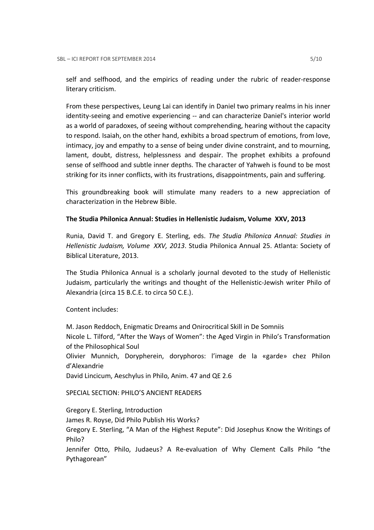self and selfhood, and the empirics of reading under the rubric of reader-response literary criticism.

From these perspectives, Leung Lai can identify in Daniel two primary realms in his inner identity-seeing and emotive experiencing -- and can characterize Daniel's interior world as a world of paradoxes, of seeing without comprehending, hearing without the capacity to respond. Isaiah, on the other hand, exhibits a broad spectrum of emotions, from love, intimacy, joy and empathy to a sense of being under divine constraint, and to mourning, lament, doubt, distress, helplessness and despair. The prophet exhibits a profound sense of selfhood and subtle inner depths. The character of Yahweh is found to be most striking for its inner conflicts, with its frustrations, disappointments, pain and suffering.

This groundbreaking book will stimulate many readers to a new appreciation of characterization in the Hebrew Bible.

# The Studia Philonica Annual: Studies in Hellenistic Judaism, Volume XXV, 2013

Runia, David T. and Gregory E. Sterling, eds. The Studia Philonica Annual: Studies in Hellenistic Judaism, Volume XXV, 2013. Studia Philonica Annual 25. Atlanta: Society of Biblical Literature, 2013.

The Studia Philonica Annual is a scholarly journal devoted to the study of Hellenistic Judaism, particularly the writings and thought of the Hellenistic-Jewish writer Philo of Alexandria (circa 15 B.C.E. to circa 50 C.E.).

Content includes:

M. Jason Reddoch, Enigmatic Dreams and Onirocritical Skill in De Somniis Nicole L. Tilford, "After the Ways of Women": the Aged Virgin in Philo's Transformation of the Philosophical Soul Olivier Munnich, Dorypherein, doryphoros: l'image de la «garde» chez Philon d'Alexandrie David Lincicum, Aeschylus in Philo, Anim. 47 and QE 2.6

SPECIAL SECTION: PHILO'S ANCIENT READERS

Gregory E. Sterling, Introduction

James R. Royse, Did Philo Publish His Works?

Gregory E. Sterling, "A Man of the Highest Repute": Did Josephus Know the Writings of Philo?

Jennifer Otto, Philo, Judaeus? A Re-evaluation of Why Clement Calls Philo "the Pythagorean"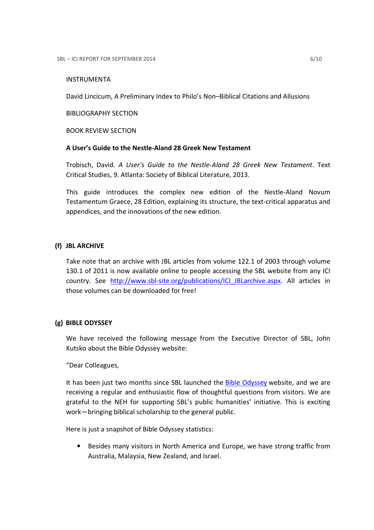# INSTRUMENTA

David Lincicum, A Preliminary Index to Philo's Non–Biblical Citations and Allusions

BIBLIOGRAPHY SECTION

BOOK REVIEW SECTION

# A User's Guide to the Nestle-Aland 28 Greek New Testament

Trobisch, David. A User's Guide to the Nestle-Aland 28 Greek New Testament. Text Critical Studies, 9. Atlanta: Society of Biblical Literature, 2013.

This guide introduces the complex new edition of the Nestle-Aland Novum Testamentum Graece, 28 Edition, explaining its structure, the text-critical apparatus and appendices, and the innovations of the new edition.

# (f) JBL ARCHIVE

Take note that an archive with JBL articles from volume 122.1 of 2003 through volume 130.1 of 2011 is now available online to people accessing the SBL website from any ICI country. See http://www.sbl-site.org/publications/ICI\_JBLarchive.aspx. All articles in those volumes can be downloaded for free!

# (g) BIBLE ODYSSEY

We have received the following message from the Executive Director of SBL, John Kutsko about the Bible Odyssey website:

"Dear Colleagues,

It has been just two months since SBL launched the Bible Odyssey website, and we are receiving a regular and enthusiastic flow of thoughtful questions from visitors. We are grateful to the NEH for supporting SBL's public humanities' initiative. This is exciting work—bringing biblical scholarship to the general public.

Here is just a snapshot of Bible Odyssey statistics:

• Besides many visitors in North America and Europe, we have strong traffic from Australia, Malaysia, New Zealand, and Israel.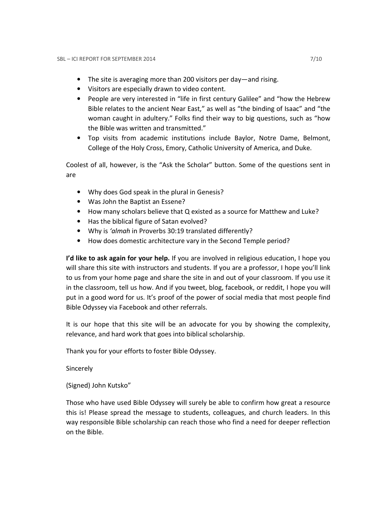- The site is averaging more than 200 visitors per day—and rising.
- Visitors are especially drawn to video content.
- People are very interested in "life in first century Galilee" and "how the Hebrew Bible relates to the ancient Near East," as well as "the binding of Isaac" and "the woman caught in adultery." Folks find their way to big questions, such as "how the Bible was written and transmitted."
- Top visits from academic institutions include Baylor, Notre Dame, Belmont, College of the Holy Cross, Emory, Catholic University of America, and Duke.

Coolest of all, however, is the "Ask the Scholar" button. Some of the questions sent in are

- Why does God speak in the plural in Genesis?
- Was John the Baptist an Essene?
- How many scholars believe that Q existed as a source for Matthew and Luke?
- Has the biblical figure of Satan evolved?
- Why is 'almah in Proverbs 30:19 translated differently?
- How does domestic architecture vary in the Second Temple period?

I'd like to ask again for your help. If you are involved in religious education, I hope you will share this site with instructors and students. If you are a professor, I hope you'll link to us from your home page and share the site in and out of your classroom. If you use it in the classroom, tell us how. And if you tweet, blog, facebook, or reddit, I hope you will put in a good word for us. It's proof of the power of social media that most people find Bible Odyssey via Facebook and other referrals.

It is our hope that this site will be an advocate for you by showing the complexity, relevance, and hard work that goes into biblical scholarship.

Thank you for your efforts to foster Bible Odyssey.

Sincerely

(Signed) John Kutsko"

Those who have used Bible Odyssey will surely be able to confirm how great a resource this is! Please spread the message to students, colleagues, and church leaders. In this way responsible Bible scholarship can reach those who find a need for deeper reflection on the Bible.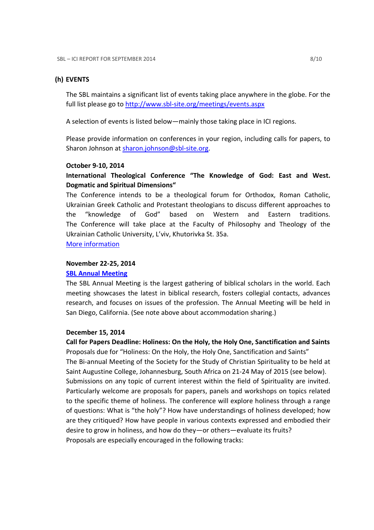#### (h) EVENTS

The SBL maintains a significant list of events taking place anywhere in the globe. For the full list please go to http://www.sbl-site.org/meetings/events.aspx

A selection of events is listed below—mainly those taking place in ICI regions.

Please provide information on conferences in your region, including calls for papers, to Sharon Johnson at sharon.johnson@sbl-site.org.

#### October 9-10, 2014

# International Theological Conference "The Knowledge of God: East and West. Dogmatic and Spiritual Dimensions"

The Conference intends to be a theological forum for Orthodox, Roman Catholic, Ukrainian Greek Catholic and Protestant theologians to discuss different approaches to the "knowledge of God" based on Western and Eastern traditions. The Conference will take place at the Faculty of Philosophy and Theology of the Ukrainian Catholic University, L'viv, Khutorivka St. 35a.

More information

#### November 22-25, 2014

### SBL Annual Meeting

The SBL Annual Meeting is the largest gathering of biblical scholars in the world. Each meeting showcases the latest in biblical research, fosters collegial contacts, advances research, and focuses on issues of the profession. The Annual Meeting will be held in San Diego, California. (See note above about accommodation sharing.)

### December 15, 2014

Call for Papers Deadline: Holiness: On the Holy, the Holy One, Sanctification and Saints Proposals due for "Holiness: On the Holy, the Holy One, Sanctification and Saints" The Bi-annual Meeting of the Society for the Study of Christian Spirituality to be held at Saint Augustine College, Johannesburg, South Africa on 21-24 May of 2015 (see below). Submissions on any topic of current interest within the field of Spirituality are invited. Particularly welcome are proposals for papers, panels and workshops on topics related to the specific theme of holiness. The conference will explore holiness through a range of questions: What is "the holy"? How have understandings of holiness developed; how are they critiqued? How have people in various contexts expressed and embodied their desire to grow in holiness, and how do they—or others—evaluate its fruits? Proposals are especially encouraged in the following tracks: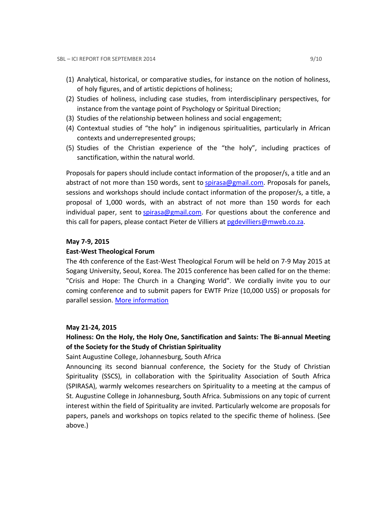- (1) Analytical, historical, or comparative studies, for instance on the notion of holiness, of holy figures, and of artistic depictions of holiness;
- (2) Studies of holiness, including case studies, from interdisciplinary perspectives, for instance from the vantage point of Psychology or Spiritual Direction;
- (3) Studies of the relationship between holiness and social engagement;
- (4) Contextual studies of "the holy" in indigenous spiritualities, particularly in African contexts and underrepresented groups;
- (5) Studies of the Christian experience of the "the holy", including practices of sanctification, within the natural world.

Proposals for papers should include contact information of the proposer/s, a title and an abstract of not more than 150 words, sent to spirasa@gmail.com. Proposals for panels, sessions and workshops should include contact information of the proposer/s, a title, a proposal of 1,000 words, with an abstract of not more than 150 words for each individual paper, sent to spirasa@gmail.com. For questions about the conference and this call for papers, please contact Pieter de Villiers at pgdevilliers@mweb.co.za.

#### May 7-9, 2015

#### East-West Theological Forum

The 4th conference of the East-West Theological Forum will be held on 7-9 May 2015 at Sogang University, Seoul, Korea. The 2015 conference has been called for on the theme: "Crisis and Hope: The Church in a Changing World". We cordially invite you to our coming conference and to submit papers for EWTF Prize (10,000 US\$) or proposals for parallel session. More information

#### May 21-24, 2015

# Holiness: On the Holy, the Holy One, Sanctification and Saints: The Bi-annual Meeting of the Society for the Study of Christian Spirituality

### Saint Augustine College, Johannesburg, South Africa

Announcing its second biannual conference, the Society for the Study of Christian Spirituality (SSCS), in collaboration with the Spirituality Association of South Africa (SPIRASA), warmly welcomes researchers on Spirituality to a meeting at the campus of St. Augustine College in Johannesburg, South Africa. Submissions on any topic of current interest within the field of Spirituality are invited. Particularly welcome are proposals for papers, panels and workshops on topics related to the specific theme of holiness. (See above.)